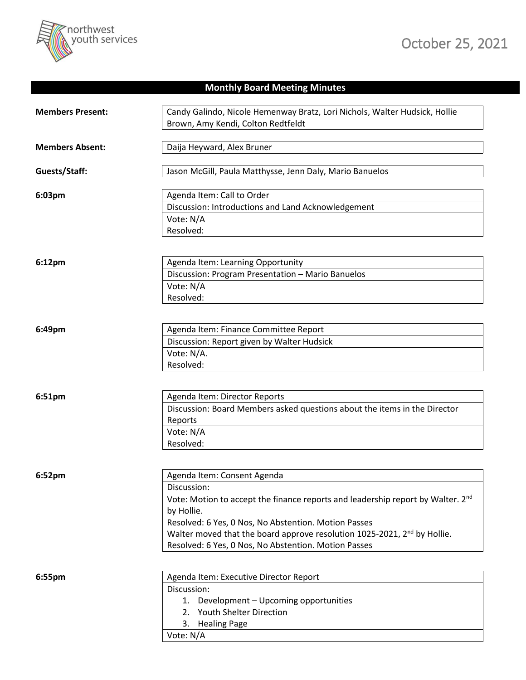

## **Monthly Board Meeting Minutes**

| <b>Members Present:</b> | Candy Galindo, Nicole Hemenway Bratz, Lori Nichols, Walter Hudsick, Hollie<br>Brown, Amy Kendi, Colton Redtfeldt                                                                                                                                                                                                                                    |
|-------------------------|-----------------------------------------------------------------------------------------------------------------------------------------------------------------------------------------------------------------------------------------------------------------------------------------------------------------------------------------------------|
| <b>Members Absent:</b>  | Daija Heyward, Alex Bruner                                                                                                                                                                                                                                                                                                                          |
| Guests/Staff:           | Jason McGill, Paula Matthysse, Jenn Daly, Mario Banuelos                                                                                                                                                                                                                                                                                            |
| 6:03pm                  | Agenda Item: Call to Order<br>Discussion: Introductions and Land Acknowledgement<br>Vote: N/A<br>Resolved:                                                                                                                                                                                                                                          |
| 6:12pm                  | Agenda Item: Learning Opportunity<br>Discussion: Program Presentation - Mario Banuelos<br>Vote: N/A<br>Resolved:                                                                                                                                                                                                                                    |
| 6:49pm                  | Agenda Item: Finance Committee Report<br>Discussion: Report given by Walter Hudsick<br>Vote: N/A.<br>Resolved:                                                                                                                                                                                                                                      |
| 6:51pm                  | Agenda Item: Director Reports<br>Discussion: Board Members asked questions about the items in the Director<br>Reports<br>Vote: N/A<br>Resolved:                                                                                                                                                                                                     |
| 6:52pm                  | Agenda Item: Consent Agenda<br>Discussion:<br>Vote: Motion to accept the finance reports and leadership report by Walter. 2nd<br>by Hollie.<br>Resolved: 6 Yes, 0 Nos, No Abstention. Motion Passes<br>Walter moved that the board approve resolution 1025-2021, 2 <sup>nd</sup> by Hollie.<br>Resolved: 6 Yes, 0 Nos, No Abstention. Motion Passes |
| 6:55pm                  | Agenda Item: Executive Director Report<br>Discussion:<br>1. Development - Upcoming opportunities<br>2. Youth Shelter Direction<br>3. Healing Page<br>Vote: N/A                                                                                                                                                                                      |